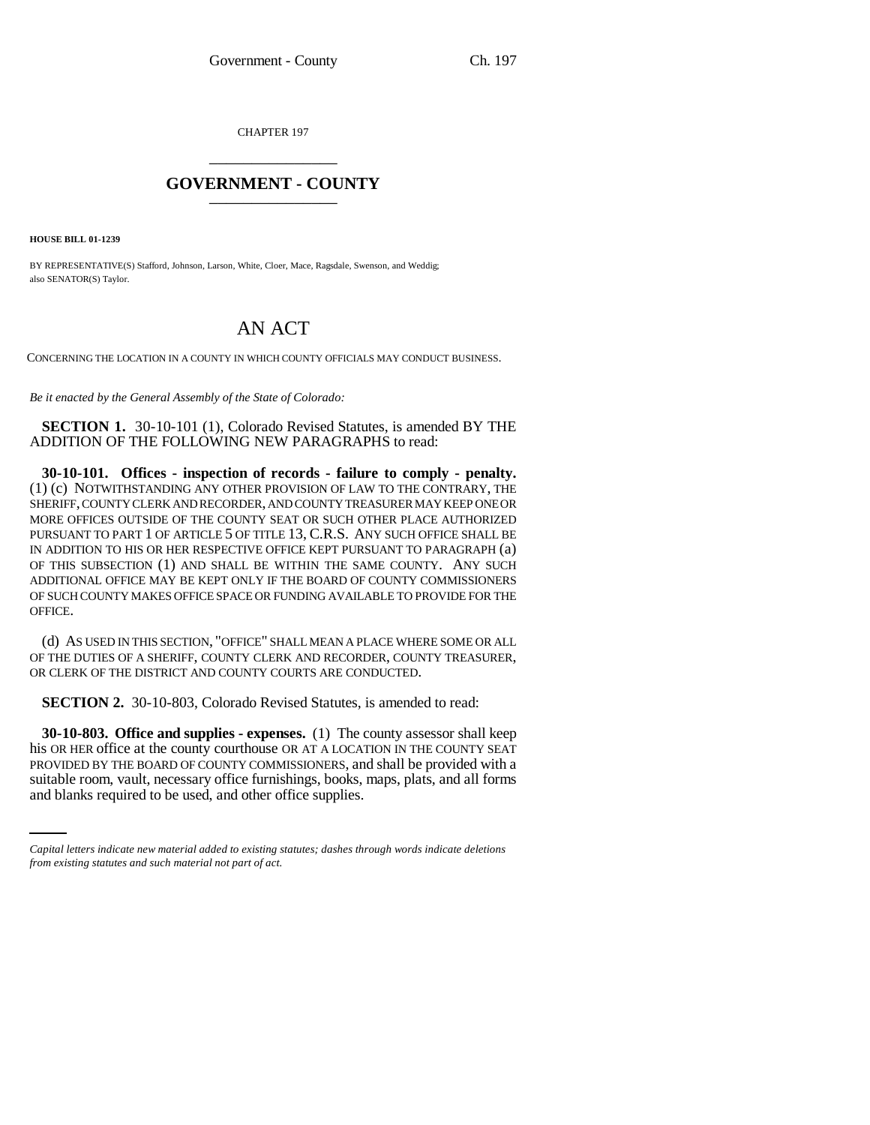CHAPTER 197 \_\_\_\_\_\_\_\_\_\_\_\_\_\_\_

## **GOVERNMENT - COUNTY** \_\_\_\_\_\_\_\_\_\_\_\_\_\_\_

**HOUSE BILL 01-1239**

BY REPRESENTATIVE(S) Stafford, Johnson, Larson, White, Cloer, Mace, Ragsdale, Swenson, and Weddig; also SENATOR(S) Taylor.

## AN ACT

CONCERNING THE LOCATION IN A COUNTY IN WHICH COUNTY OFFICIALS MAY CONDUCT BUSINESS.

*Be it enacted by the General Assembly of the State of Colorado:*

**SECTION 1.** 30-10-101 (1), Colorado Revised Statutes, is amended BY THE ADDITION OF THE FOLLOWING NEW PARAGRAPHS to read:

**30-10-101. Offices - inspection of records - failure to comply - penalty.** (1) (c) NOTWITHSTANDING ANY OTHER PROVISION OF LAW TO THE CONTRARY, THE SHERIFF, COUNTY CLERK AND RECORDER, AND COUNTY TREASURER MAY KEEP ONE OR MORE OFFICES OUTSIDE OF THE COUNTY SEAT OR SUCH OTHER PLACE AUTHORIZED PURSUANT TO PART 1 OF ARTICLE 5 OF TITLE 13, C.R.S. ANY SUCH OFFICE SHALL BE IN ADDITION TO HIS OR HER RESPECTIVE OFFICE KEPT PURSUANT TO PARAGRAPH (a) OF THIS SUBSECTION (1) AND SHALL BE WITHIN THE SAME COUNTY. ANY SUCH ADDITIONAL OFFICE MAY BE KEPT ONLY IF THE BOARD OF COUNTY COMMISSIONERS OF SUCH COUNTY MAKES OFFICE SPACE OR FUNDING AVAILABLE TO PROVIDE FOR THE OFFICE.

(d) AS USED IN THIS SECTION, "OFFICE" SHALL MEAN A PLACE WHERE SOME OR ALL OF THE DUTIES OF A SHERIFF, COUNTY CLERK AND RECORDER, COUNTY TREASURER, OR CLERK OF THE DISTRICT AND COUNTY COURTS ARE CONDUCTED.

**SECTION 2.** 30-10-803, Colorado Revised Statutes, is amended to read:

PROVIDED BY THE BOARD OF COUNTY COMMISSIONERS, and shall be provided with a **30-10-803. Office and supplies - expenses.** (1) The county assessor shall keep his OR HER office at the county courthouse OR AT A LOCATION IN THE COUNTY SEAT suitable room, vault, necessary office furnishings, books, maps, plats, and all forms and blanks required to be used, and other office supplies.

*Capital letters indicate new material added to existing statutes; dashes through words indicate deletions from existing statutes and such material not part of act.*